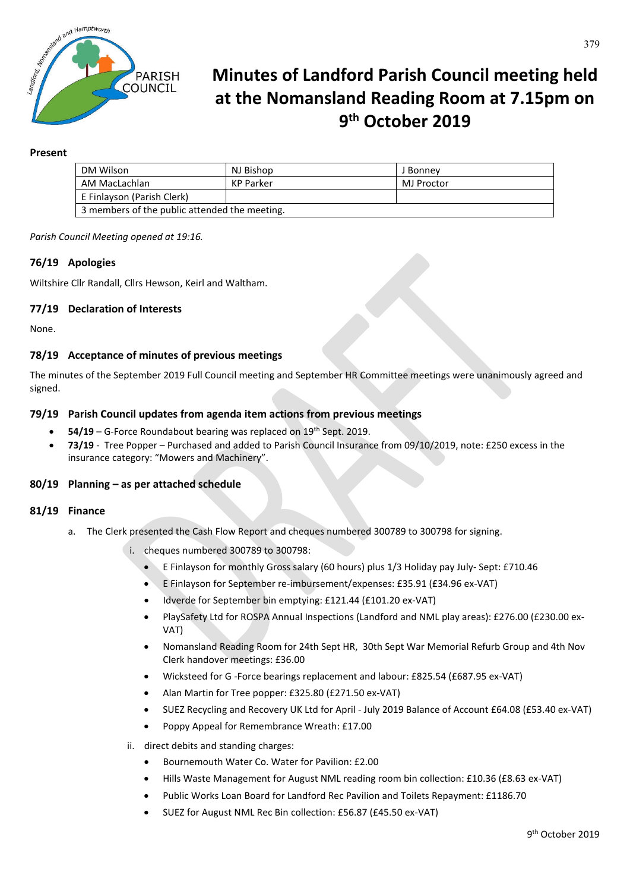

# **Minutes of Landford Parish Council meeting held at the Nomansland Reading Room at 7.15pm on 9th October 2019**

## **Present**

| DM Wilson                                     | NJ Bishop | J Bonnev   |
|-----------------------------------------------|-----------|------------|
| AM MacLachlan                                 | KP Parker | MJ Proctor |
| E Finlayson (Parish Clerk)                    |           |            |
| 3 members of the public attended the meeting. |           |            |

*Parish Council Meeting opened at 19:16.*

# **76/19 Apologies**

Wiltshire Cllr Randall, Cllrs Hewson, Keirl and Waltham.

# **77/19 Declaration of Interests**

None.

# **78/19 Acceptance of minutes of previous meetings**

The minutes of the September 2019 Full Council meeting and September HR Committee meetings were unanimously agreed and signed.

## **79/19 Parish Council updates from agenda item actions from previous meetings**

- **54/19** G-Force Roundabout bearing was replaced on 19th Sept. 2019.
- **73/19** Tree Popper Purchased and added to Parish Council Insurance from 09/10/2019, note: £250 excess in the insurance category: "Mowers and Machinery".

#### **80/19 Planning – as per attached schedule**

#### **81/19 Finance**

- a. The Clerk presented the Cash Flow Report and cheques numbered 300789 to 300798 for signing.
	- i. cheques numbered 300789 to 300798:
		- E Finlayson for monthly Gross salary (60 hours) plus 1/3 Holiday pay July- Sept: £710.46
		- E Finlayson for September re-imbursement/expenses: £35.91 (£34.96 ex-VAT)
		- Idverde for September bin emptying: £121.44 (£101.20 ex-VAT)
		- PlaySafety Ltd for ROSPA Annual Inspections (Landford and NML play areas): £276.00 (£230.00 ex-VAT)
		- Nomansland Reading Room for 24th Sept HR, 30th Sept War Memorial Refurb Group and 4th Nov Clerk handover meetings: £36.00
		- Wicksteed for G -Force bearings replacement and labour: £825.54 (£687.95 ex-VAT)
		- Alan Martin for Tree popper: £325.80 (£271.50 ex-VAT)
		- SUEZ Recycling and Recovery UK Ltd for April July 2019 Balance of Account £64.08 (£53.40 ex-VAT)
		- Poppy Appeal for Remembrance Wreath: £17.00
	- ii. direct debits and standing charges:
		- Bournemouth Water Co. Water for Pavilion: £2.00
		- Hills Waste Management for August NML reading room bin collection: £10.36 (£8.63 ex-VAT)
			- Public Works Loan Board for Landford Rec Pavilion and Toilets Repayment: £1186.70
		- SUEZ for August NML Rec Bin collection: £56.87 (£45.50 ex-VAT)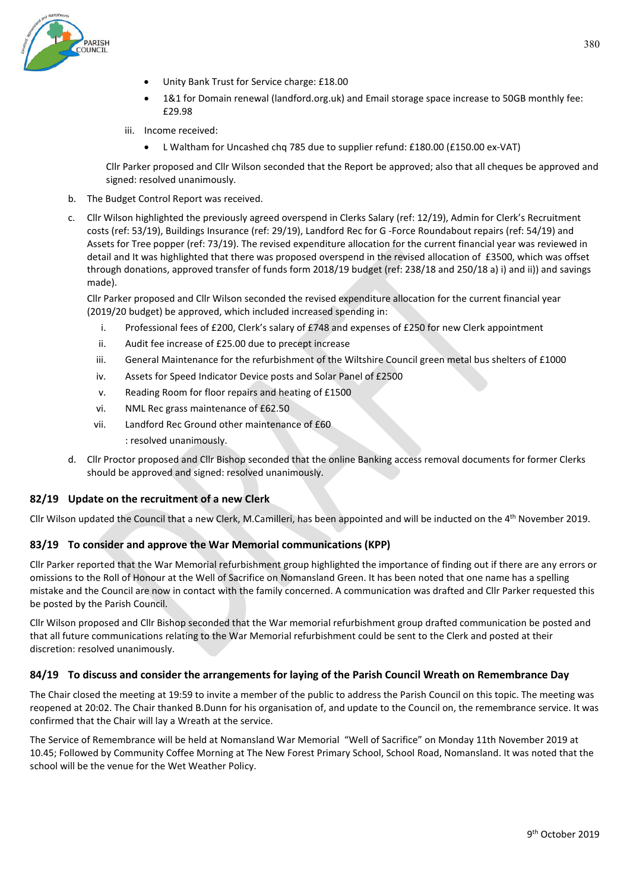- Unity Bank Trust for Service charge: £18.00
- 1&1 for Domain renewal (landford.org.uk) and Email storage space increase to 50GB monthly fee: £29.98
- iii. Income received:
	- L Waltham for Uncashed chq 785 due to supplier refund: £180.00 (£150.00 ex-VAT)

Cllr Parker proposed and Cllr Wilson seconded that the Report be approved; also that all cheques be approved and signed: resolved unanimously.

- b. The Budget Control Report was received.
- c. Cllr Wilson highlighted the previously agreed overspend in Clerks Salary (ref: 12/19), Admin for Clerk's Recruitment costs (ref: 53/19), Buildings Insurance (ref: 29/19), Landford Rec for G -Force Roundabout repairs (ref: 54/19) and Assets for Tree popper (ref: 73/19). The revised expenditure allocation for the current financial year was reviewed in detail and It was highlighted that there was proposed overspend in the revised allocation of £3500, which was offset through donations, approved transfer of funds form 2018/19 budget (ref: 238/18 and 250/18 a) i) and ii)) and savings made).

Cllr Parker proposed and Cllr Wilson seconded the revised expenditure allocation for the current financial year (2019/20 budget) be approved, which included increased spending in:

- i. Professional fees of £200, Clerk's salary of £748 and expenses of £250 for new Clerk appointment
- ii. Audit fee increase of £25.00 due to precept increase
- iii. General Maintenance for the refurbishment of the Wiltshire Council green metal bus shelters of £1000
- iv. Assets for Speed Indicator Device posts and Solar Panel of £2500
- v. Reading Room for floor repairs and heating of £1500
- vi. NML Rec grass maintenance of £62.50
- vii. Landford Rec Ground other maintenance of £60 : resolved unanimously.
- d. Cllr Proctor proposed and Cllr Bishop seconded that the online Banking access removal documents for former Clerks should be approved and signed: resolved unanimously.

#### **82/19 Update on the recruitment of a new Clerk**

Cllr Wilson updated the Council that a new Clerk, M.Camilleri, has been appointed and will be inducted on the  $4<sup>th</sup>$  November 2019.

#### **83/19 To consider and approve the War Memorial communications (KPP)**

Cllr Parker reported that the War Memorial refurbishment group highlighted the importance of finding out if there are any errors or omissions to the Roll of Honour at the Well of Sacrifice on Nomansland Green. It has been noted that one name has a spelling mistake and the Council are now in contact with the family concerned. A communication was drafted and Cllr Parker requested this be posted by the Parish Council.

Cllr Wilson proposed and Cllr Bishop seconded that the War memorial refurbishment group drafted communication be posted and that all future communications relating to the War Memorial refurbishment could be sent to the Clerk and posted at their discretion: resolved unanimously.

#### **84/19 To discuss and consider the arrangements for laying of the Parish Council Wreath on Remembrance Day**

The Chair closed the meeting at 19:59 to invite a member of the public to address the Parish Council on this topic. The meeting was reopened at 20:02. The Chair thanked B.Dunn for his organisation of, and update to the Council on, the remembrance service. It was confirmed that the Chair will lay a Wreath at the service.

The Service of Remembrance will be held at Nomansland War Memorial "Well of Sacrifice" on Monday 11th November 2019 at 10.45; Followed by Community Coffee Morning at The New Forest Primary School, School Road, Nomansland. It was noted that the school will be the venue for the Wet Weather Policy.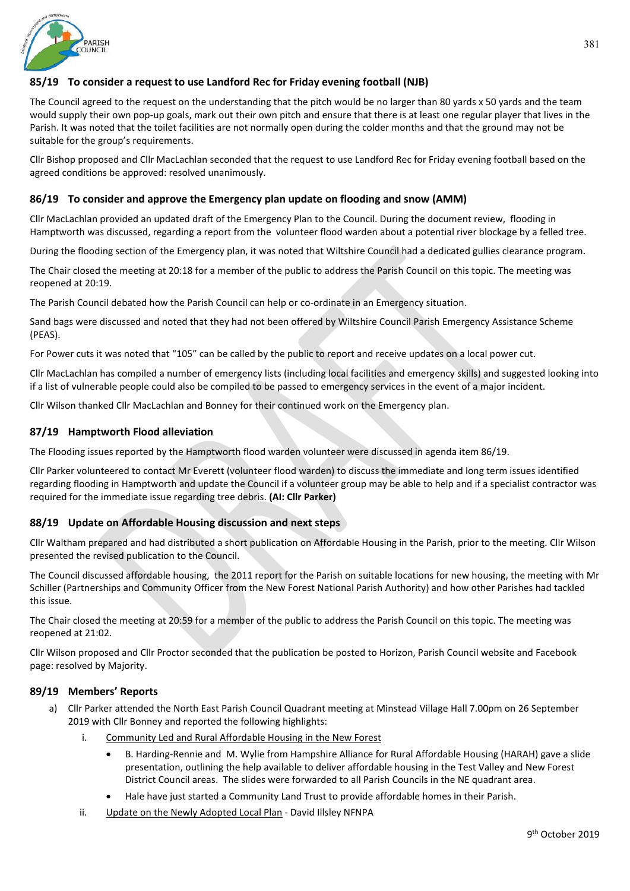

# **85/19 To consider a request to use Landford Rec for Friday evening football (NJB)**

The Council agreed to the request on the understanding that the pitch would be no larger than 80 yards x 50 yards and the team would supply their own pop-up goals, mark out their own pitch and ensure that there is at least one regular player that lives in the Parish. It was noted that the toilet facilities are not normally open during the colder months and that the ground may not be suitable for the group's requirements.

Cllr Bishop proposed and Cllr MacLachlan seconded that the request to use Landford Rec for Friday evening football based on the agreed conditions be approved: resolved unanimously.

## **86/19 To consider and approve the Emergency plan update on flooding and snow (AMM)**

Cllr MacLachlan provided an updated draft of the Emergency Plan to the Council. During the document review, flooding in Hamptworth was discussed, regarding a report from the volunteer flood warden about a potential river blockage by a felled tree.

During the flooding section of the Emergency plan, it was noted that Wiltshire Council had a dedicated gullies clearance program.

The Chair closed the meeting at 20:18 for a member of the public to address the Parish Council on this topic. The meeting was reopened at 20:19.

The Parish Council debated how the Parish Council can help or co-ordinate in an Emergency situation.

Sand bags were discussed and noted that they had not been offered by Wiltshire Council Parish Emergency Assistance Scheme (PEAS).

For Power cuts it was noted that "105" can be called by the public to report and receive updates on a local power cut.

Cllr MacLachlan has compiled a number of emergency lists (including local facilities and emergency skills) and suggested looking into if a list of vulnerable people could also be compiled to be passed to emergency services in the event of a major incident.

Cllr Wilson thanked Cllr MacLachlan and Bonney for their continued work on the Emergency plan.

## **87/19 Hamptworth Flood alleviation**

The Flooding issues reported by the Hamptworth flood warden volunteer were discussed in agenda item 86/19.

Cllr Parker volunteered to contact Mr Everett (volunteer flood warden) to discuss the immediate and long term issues identified regarding flooding in Hamptworth and update the Council if a volunteer group may be able to help and if a specialist contractor was required for the immediate issue regarding tree debris. **(AI: Cllr Parker)**

# **88/19 Update on Affordable Housing discussion and next steps**

Cllr Waltham prepared and had distributed a short publication on Affordable Housing in the Parish, prior to the meeting. Cllr Wilson presented the revised publication to the Council.

The Council discussed affordable housing, the 2011 report for the Parish on suitable locations for new housing, the meeting with Mr Schiller (Partnerships and Community Officer from the New Forest National Parish Authority) and how other Parishes had tackled this issue.

The Chair closed the meeting at 20:59 for a member of the public to address the Parish Council on this topic. The meeting was reopened at 21:02.

Cllr Wilson proposed and Cllr Proctor seconded that the publication be posted to Horizon, Parish Council website and Facebook page: resolved by Majority.

#### **89/19 Members' Reports**

- a) Cllr Parker attended the North East Parish Council Quadrant meeting at Minstead Village Hall 7.00pm on 26 September 2019 with Cllr Bonney and reported the following highlights:
	- i. Community Led and Rural Affordable Housing in the New Forest
		- B. Harding-Rennie and M. Wylie from Hampshire Alliance for Rural Affordable Housing (HARAH) gave a slide presentation, outlining the help available to deliver affordable housing in the Test Valley and New Forest District Council areas. The slides were forwarded to all Parish Councils in the NE quadrant area.
		- Hale have just started a Community Land Trust to provide affordable homes in their Parish.
	- ii. Update on the Newly Adopted Local Plan David Illsley NFNPA